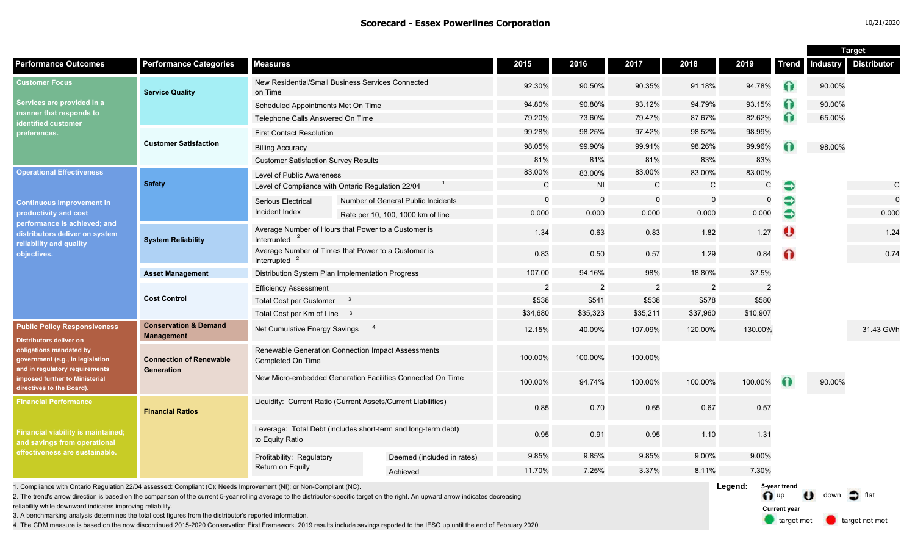| 10/21/2020 |  |
|------------|--|
|------------|--|

target met **target not met** 

**Current year**

|                                                                                                                                                                                                                                       |                                                       |                                                                                  |                                                                                                                                                                                       |                |                |                |                |                         |              | <b>Target</b>                 |                    |  |
|---------------------------------------------------------------------------------------------------------------------------------------------------------------------------------------------------------------------------------------|-------------------------------------------------------|----------------------------------------------------------------------------------|---------------------------------------------------------------------------------------------------------------------------------------------------------------------------------------|----------------|----------------|----------------|----------------|-------------------------|--------------|-------------------------------|--------------------|--|
| <b>Performance Outcomes</b>                                                                                                                                                                                                           | <b>Performance Categories</b>                         | <b>Measures</b>                                                                  |                                                                                                                                                                                       | 2015           | 2016           | 2017           | 2018           | 2019                    | <b>Trend</b> | Industry                      | <b>Distributor</b> |  |
| <b>Customer Focus</b><br>Services are provided in a<br>manner that responds to<br>identified customer<br>preferences.                                                                                                                 | <b>Service Quality</b>                                | on Time                                                                          | New Residential/Small Business Services Connected<br>90.35%<br>92.30%<br>90.50%                                                                                                       |                | 91.18%         | 94.78%         | $\Omega$       | 90.00%                  |              |                               |                    |  |
|                                                                                                                                                                                                                                       |                                                       | Scheduled Appointments Met On Time                                               |                                                                                                                                                                                       | 94.80%         | 90.80%         | 93.12%         | 94.79%         | 93.15%                  | ⋒            | 90.00%                        |                    |  |
|                                                                                                                                                                                                                                       |                                                       | Telephone Calls Answered On Time                                                 |                                                                                                                                                                                       | 79.20%         | 73.60%         | 79.47%         | 87.67%         | 82.62%                  | Ω            | 65.00%                        |                    |  |
|                                                                                                                                                                                                                                       | <b>Customer Satisfaction</b>                          | <b>First Contact Resolution</b>                                                  |                                                                                                                                                                                       | 99.28%         | 98.25%         | 97.42%         | 98.52%         | 98.99%                  |              |                               |                    |  |
|                                                                                                                                                                                                                                       |                                                       | <b>Billing Accuracy</b>                                                          |                                                                                                                                                                                       | 98.05%         | 99.90%         | 99.91%         | 98.26%         | 99.96%                  |              | 98.00%                        |                    |  |
|                                                                                                                                                                                                                                       |                                                       | <b>Customer Satisfaction Survey Results</b>                                      |                                                                                                                                                                                       | 81%            | 81%            | 81%            | 83%            | 83%                     |              |                               |                    |  |
| <b>Operational Effectiveness</b><br><b>Continuous improvement in</b><br>productivity and cost<br>performance is achieved; and<br>distributors deliver on system<br>reliability and quality<br>objectives.                             | <b>Safety</b>                                         | Level of Public Awareness                                                        |                                                                                                                                                                                       | 83.00%         | 83.00%         | 83.00%         | 83.00%         | 83.00%                  |              |                               |                    |  |
|                                                                                                                                                                                                                                       |                                                       | Level of Compliance with Ontario Regulation 22/04                                |                                                                                                                                                                                       | C              | <b>NI</b>      | $\mathsf{C}$   | $\mathsf C$    | С                       | €            |                               | $\mathsf C$        |  |
|                                                                                                                                                                                                                                       |                                                       | Serious Electrical<br>Incident Index                                             | Number of General Public Incidents                                                                                                                                                    | $\mathbf 0$    | 0              | $\mathbf 0$    |                | $\mathbf 0$             |              |                               | $\mathbf 0$        |  |
|                                                                                                                                                                                                                                       |                                                       |                                                                                  | Rate per 10, 100, 1000 km of line                                                                                                                                                     | 0.000          | 0.000          | 0.000          | 0.000          | 0.000                   | €            |                               | 0.000              |  |
|                                                                                                                                                                                                                                       | <b>System Reliability</b>                             | Interrupted $2$                                                                  | Average Number of Hours that Power to a Customer is                                                                                                                                   | 1.34           | 0.63           | 0.83           | 1.82           | 1.27                    | U            |                               | 1.24               |  |
|                                                                                                                                                                                                                                       |                                                       | Average Number of Times that Power to a Customer is<br>Interrupted               |                                                                                                                                                                                       | 0.83           | 0.50           | 0.57           | 1.29           | 0.84                    | $\Omega$     |                               | 0.74               |  |
|                                                                                                                                                                                                                                       | <b>Asset Management</b>                               | Distribution System Plan Implementation Progress                                 | 107.00                                                                                                                                                                                | 94.16%         | 98%            | 18.80%         | 37.5%          |                         |              |                               |                    |  |
|                                                                                                                                                                                                                                       | <b>Cost Control</b>                                   | <b>Efficiency Assessment</b>                                                     | $\overline{2}$                                                                                                                                                                        | $\overline{2}$ | $\overline{2}$ | $\overline{2}$ | $\overline{2}$ |                         |              |                               |                    |  |
|                                                                                                                                                                                                                                       |                                                       | Total Cost per Customer 3                                                        |                                                                                                                                                                                       | \$538          | \$541          | \$538          | \$578          | \$580                   |              |                               |                    |  |
|                                                                                                                                                                                                                                       |                                                       | Total Cost per Km of Line 3                                                      | \$34,680                                                                                                                                                                              | \$35,323       | \$35,211       | \$37,960       | \$10,907       |                         |              |                               |                    |  |
| <b>Public Policy Responsiveness</b><br><b>Distributors deliver on</b><br>obligations mandated by<br>government (e.g., in legislation<br>and in regulatory requirements<br>imposed further to Ministerial<br>directives to the Board). | <b>Conservation &amp; Demand</b><br><b>Management</b> | Net Cumulative Energy Savings                                                    | $\overline{4}$                                                                                                                                                                        | 12.15%         | 40.09%         | 107.09%        | 120.00%        | 130.00%                 |              |                               | 31.43 GWh          |  |
|                                                                                                                                                                                                                                       | <b>Connection of Renewable</b><br>Generation          | Completed On Time                                                                | Renewable Generation Connection Impact Assessments                                                                                                                                    | 100.00%        | 100.00%        | 100.00%        |                |                         |              |                               |                    |  |
|                                                                                                                                                                                                                                       |                                                       | New Micro-embedded Generation Facilities Connected On Time                       |                                                                                                                                                                                       | 100.00%        | 94.74%         | 100.00%        | 100.00%        | 100.00%                 | $\bullet$    | 90.00%                        |                    |  |
| <b>Financial Performance</b><br><b>Financial viability is maintained;</b><br>and savings from operational<br>effectiveness are sustainable.                                                                                           | <b>Financial Ratios</b>                               | Liquidity: Current Ratio (Current Assets/Current Liabilities)                    |                                                                                                                                                                                       | 0.85           | 0.70           | 0.65           | 0.67           | 0.57                    |              |                               |                    |  |
|                                                                                                                                                                                                                                       |                                                       | Leverage: Total Debt (includes short-term and long-term debt)<br>to Equity Ratio |                                                                                                                                                                                       | 0.95           | 0.91           | 0.95           | 1.10           | 1.31                    |              |                               |                    |  |
|                                                                                                                                                                                                                                       |                                                       | Profitability: Regulatory<br>Return on Equity                                    | Deemed (included in rates)                                                                                                                                                            | 9.85%          | 9.85%          | 9.85%          | 9.00%          | 9.00%                   |              |                               |                    |  |
|                                                                                                                                                                                                                                       |                                                       |                                                                                  | Achieved                                                                                                                                                                              | 11.70%         | 7.25%          | 3.37%          | 8.11%          | 7.30%                   |              |                               |                    |  |
| 1. Compliance with Ontario Regulation 22/04 assessed: Compliant (C); Needs Improvement (NI); or Non-Compliant (NC).                                                                                                                   |                                                       |                                                                                  | 2. The trend's arrow direction is based on the comparison of the current 5-year rolling average to the distributor-specific target on the right. An upward arrow indicates decreasing |                |                |                |                | Legend:<br>$\bigcap$ up | 5-year trend | $\bullet$ down $\bullet$ flat |                    |  |

reliability while downward indicates improving reliability.

3. A benchmarking analysis determines the total cost figures from the distributor's reported information.

4. The CDM measure is based on the now discontinued 2015-2020 Conservation First Framework. 2019 results include savings reported to the IESO up until the end of February 2020.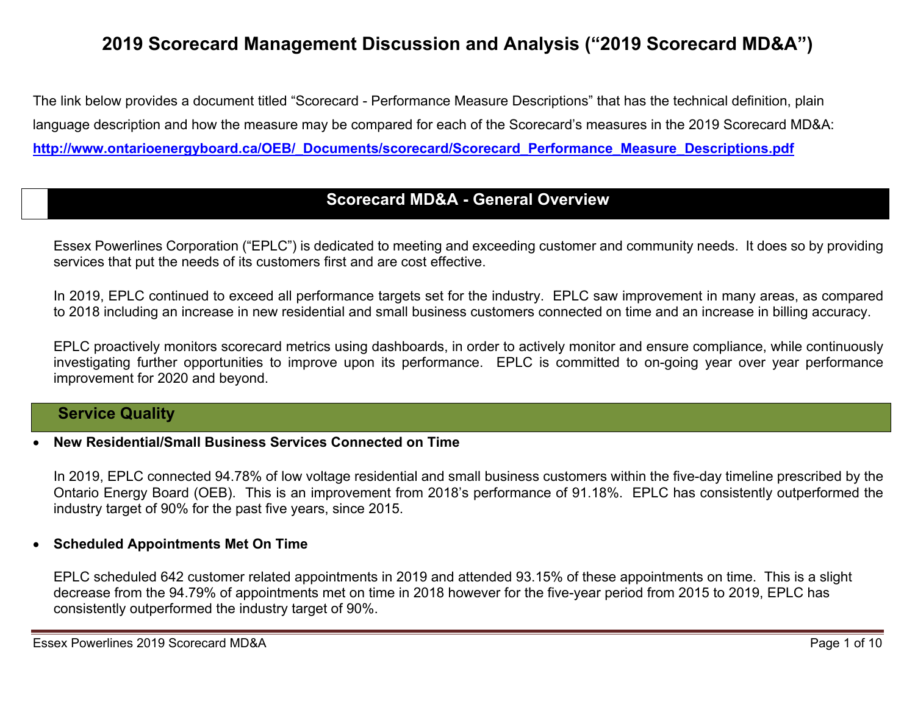# **2019 Scorecard Management Discussion and Analysis ("2019 Scorecard MD&A")**

The link below provides a document titled "Scorecard - Performance Measure Descriptions" that has the technical definition, plain language description and how the measure may be compared for each of the Scorecard's measures in the 2019 Scorecard MD&A: **http://www.ontarioenergyboard.ca/OEB/\_Documents/scorecard/Scorecard\_Performance\_Measure\_Descriptions.pdf** 

### **Scorecard MD&A - General Overview**

Essex Powerlines Corporation ("EPLC") is dedicated to meeting and exceeding customer and community needs. It does so by providing services that put the needs of its customers first and are cost effective.

In 2019, EPLC continued to exceed all performance targets set for the industry. EPLC saw improvement in many areas, as compared to 2018 including an increase in new residential and small business customers connected on time and an increase in billing accuracy.

EPLC proactively monitors scorecard metrics using dashboards, in order to actively monitor and ensure compliance, while continuously investigating further opportunities to improve upon its performance. EPLC is committed to on-going year over year performance improvement for 2020 and beyond.

### **Service Quality**

#### 0 **New Residential/Small Business Services Connected on Time**

In 2019, EPLC connected 94.78% of low voltage residential and small business customers within the five-day timeline prescribed by the Ontario Energy Board (OEB). This is an improvement from 2018's performance of 91.18%. EPLC has consistently outperformed the industry target of 90% for the past five years, since 2015.

### **Scheduled Appointments Met On Time**

EPLC scheduled 642 customer related appointments in 2019 and attended 93.15% of these appointments on time. This is a slight decrease from the 94.79% of appointments met on time in 2018 however for the five-year period from 2015 to 2019, EPLC has consistently outperformed the industry target of 90%.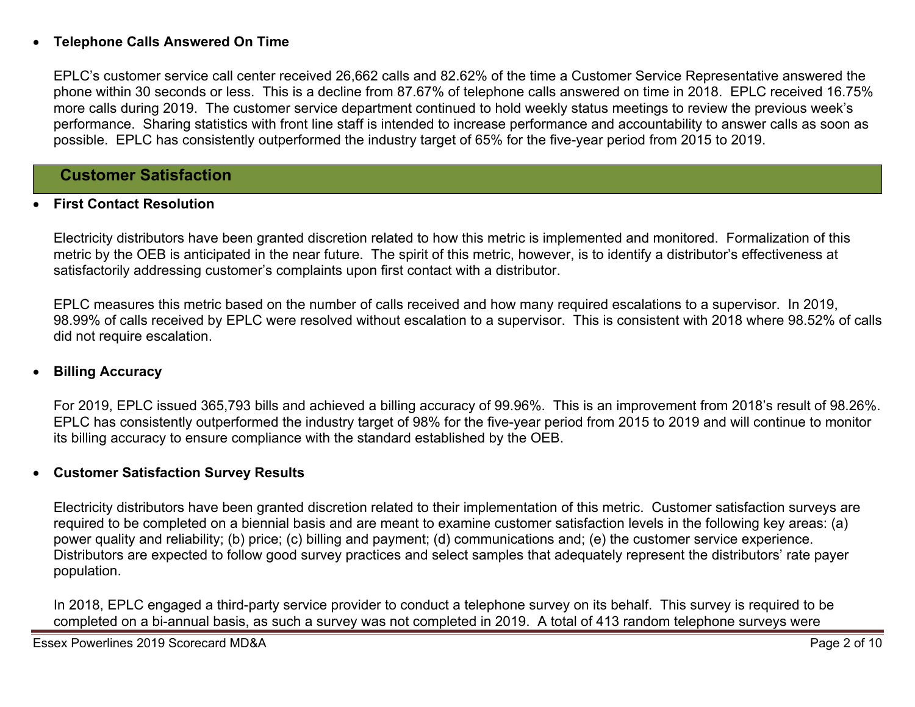#### 0 **Telephone Calls Answered On Time**

EPLC's customer service call center received 26,662 calls and 82.62% of the time a Customer Service Representative answered the phone within 30 seconds or less. This is a decline from 87.67% of telephone calls answered on time in 2018. EPLC received 16.75% more calls during 2019. The customer service department continued to hold weekly status meetings to review the previous week's performance. Sharing statistics with front line staff is intended to increase performance and accountability to answer calls as soon as possible. EPLC has consistently outperformed the industry target of 65% for the five-year period from 2015 to 2019.

### **Customer Satisfaction**

#### 0 **First Contact Resolution**

Electricity distributors have been granted discretion related to how this metric is implemented and monitored. Formalization of this metric by the OEB is anticipated in the near future. The spirit of this metric, however, is to identify a distributor's effectiveness at satisfactorily addressing customer's complaints upon first contact with a distributor.

EPLC measures this metric based on the number of calls received and how many required escalations to a supervisor. In 2019, 98.99% of calls received by EPLC were resolved without escalation to a supervisor. This is consistent with 2018 where 98.52% of calls did not require escalation.

#### 0 **Billing Accuracy**

For 2019, EPLC issued 365,793 bills and achieved a billing accuracy of 99.96%. This is an improvement from 2018's result of 98.26%. EPLC has consistently outperformed the industry target of 98% for the five-year period from 2015 to 2019 and will continue to monitor its billing accuracy to ensure compliance with the standard established by the OEB.

#### 0 **Customer Satisfaction Survey Results**

Electricity distributors have been granted discretion related to their implementation of this metric. Customer satisfaction surveys are required to be completed on a biennial basis and are meant to examine customer satisfaction levels in the following key areas: (a) power quality and reliability; (b) price; (c) billing and payment; (d) communications and; (e) the customer service experience. Distributors are expected to follow good survey practices and select samples that adequately represent the distributors' rate payer population.

In 2018, EPLC engaged a third-party service provider to conduct a telephone survey on its behalf. This survey is required to be completed on a bi-annual basis, as such a survey was not completed in 2019. A total of 413 random telephone surveys were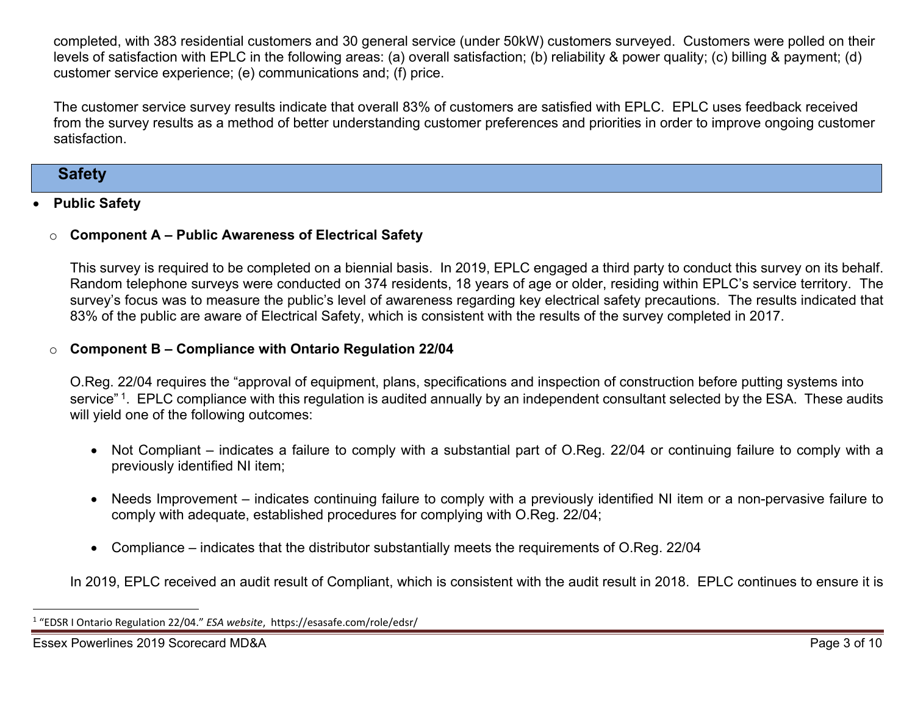completed, with 383 residential customers and 30 general service (under 50kW) customers surveyed. Customers were polled on their levels of satisfaction with EPLC in the following areas: (a) overall satisfaction; (b) reliability & power quality; (c) billing & payment; (d) customer service experience; (e) communications and; (f) price.

The customer service survey results indicate that overall 83% of customers are satisfied with EPLC. EPLC uses feedback received from the survey results as a method of better understanding customer preferences and priorities in order to improve ongoing customer satisfaction.

### **Safety**

#### 0 **Public Safety**

#### o**Component A – Public Awareness of Electrical Safety**

This survey is required to be completed on a biennial basis. In 2019, EPLC engaged a third party to conduct this survey on its behalf. Random telephone surveys were conducted on 374 residents, 18 years of age or older, residing within EPLC's service territory. The survey's focus was to measure the public's level of awareness regarding key electrical safety precautions. The results indicated that 83% of the public are aware of Electrical Safety, which is consistent with the results of the survey completed in 2017.

#### o**Component B – Compliance with Ontario Regulation 22/04**

O.Reg. 22/04 requires the "approval of equipment, plans, specifications and inspection of construction before putting systems into service"<sup>1</sup>. EPLC compliance with this regulation is audited annually by an independent consultant selected by the ESA. These audits will yield one of the following outcomes:

- Not Compliant indicates a failure to comply with a substantial part of O.Reg. 22/04 or continuing failure to comply with a previously identified NI item;
- Needs Improvement indicates continuing failure to comply with a previously identified NI item or a non-pervasive failure to comply with adequate, established procedures for complying with O.Reg. 22/04;
- Compliance indicates that the distributor substantially meets the requirements of O.Reg. 22/04

In 2019, EPLC received an audit result of Compliant, which is consistent with the audit result in 2018. EPLC continues to ensure it is

<sup>1</sup> "EDSR I Ontario Regulation 22/04." *ESA website*, https://esasafe.com/role/edsr/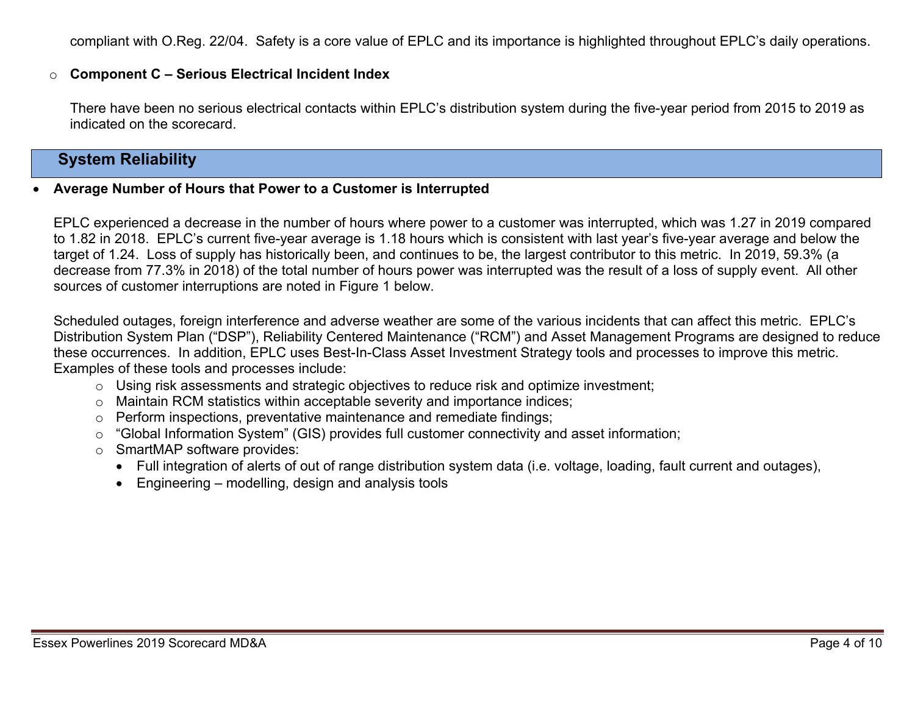compliant with O.Reg. 22/04. Safety is a core value of EPLC and its importance is highlighted throughout EPLC's daily operations.

#### o**Component C – Serious Electrical Incident Index**

There have been no serious electrical contacts within EPLC's distribution system during the five-year period from 2015 to 2019 as indicated on the scorecard.

## **System Reliability**

#### 0 **Average Number of Hours that Power to a Customer is Interrupted**

EPLC experienced a decrease in the number of hours where power to a customer was interrupted, which was 1.27 in 2019 compared to 1.82 in 2018. EPLC's current five-year average is 1.18 hours which is consistent with last year's five-year average and below the target of 1.24. Loss of supply has historically been, and continues to be, the largest contributor to this metric. In 2019, 59.3% (a decrease from 77.3% in 2018) of the total number of hours power was interrupted was the result of a loss of supply event. All other sources of customer interruptions are noted in Figure 1 below.

Scheduled outages, foreign interference and adverse weather are some of the various incidents that can affect this metric. EPLC's Distribution System Plan ("DSP"), Reliability Centered Maintenance ("RCM") and Asset Management Programs are designed to reduce these occurrences. In addition, EPLC uses Best-In-Class Asset Investment Strategy tools and processes to improve this metric. Examples of these tools and processes include:

- <sup>o</sup> Using risk assessments and strategic objectives to reduce risk and optimize investment;
- <sup>o</sup> Maintain RCM statistics within acceptable severity and importance indices;
- $\circ$  Perform inspections, preventative maintenance and remediate findings:
- <sup>o</sup> "Global Information System" (GIS) provides full customer connectivity and asset information;
- <sup>o</sup> SmartMAP software provides:
	- Full integration of alerts of out of range distribution system data (i.e. voltage, loading, fault current and outages),
	- Engineering modelling, design and analysis tools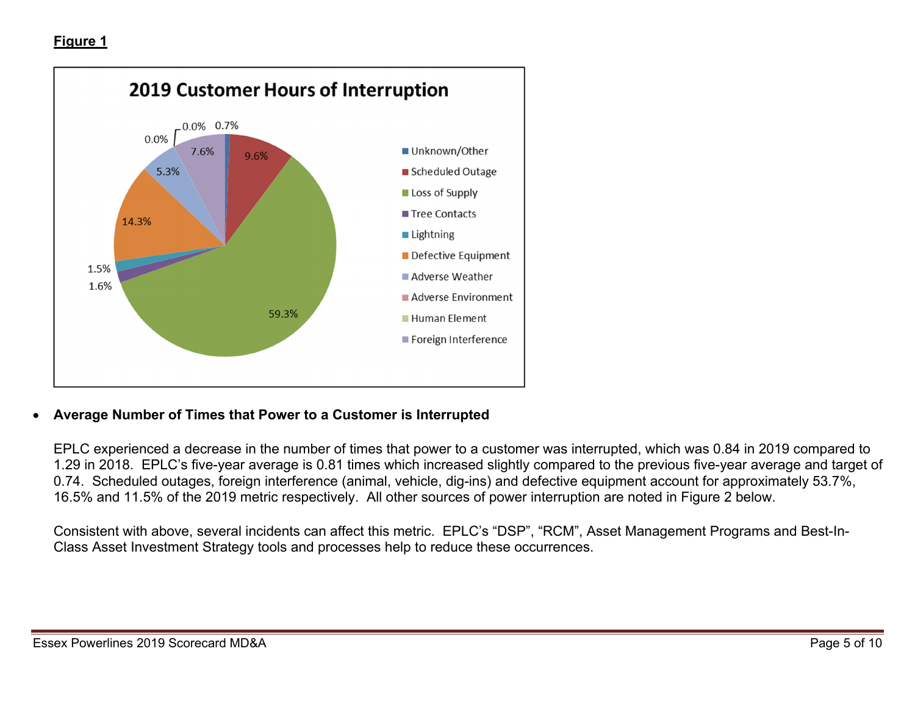

#### 0 **Average Number of Times that Power to a Customer is Interrupted**

EPLC experienced a decrease in the number of times that power to a customer was interrupted, which was 0.84 in 2019 compared to 1.29 in 2018. EPLC's five-year average is 0.81 times which increased slightly compared to the previous five-year average and target of 0.74. Scheduled outages, foreign interference (animal, vehicle, dig-ins) and defective equipment account for approximately 53.7%, 16.5% and 11.5% of the 2019 metric respectively. All other sources of power interruption are noted in Figure 2 below.

Consistent with above, several incidents can affect this metric. EPLC's "DSP", "RCM", Asset Management Programs and Best-In-Class Asset Investment Strategy tools and processes help to reduce these occurrences.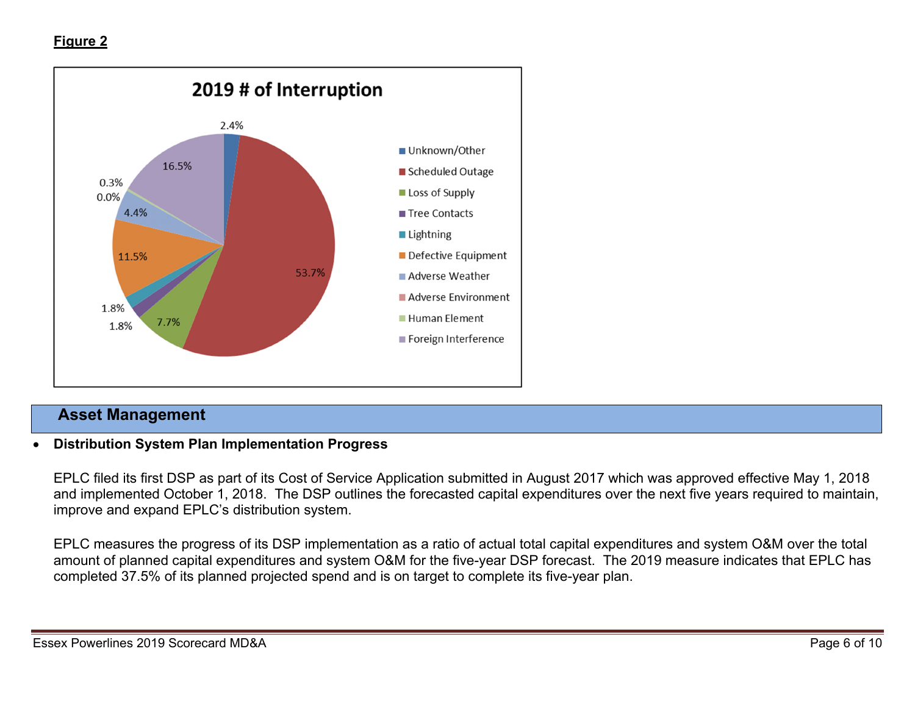

### **Asset Management**

#### 0 **Distribution System Plan Implementation Progress**

EPLC filed its first DSP as part of its Cost of Service Application submitted in August 2017 which was approved effective May 1, 2018 and implemented October 1, 2018. The DSP outlines the forecasted capital expenditures over the next five years required to maintain, improve and expand EPLC's distribution system.

EPLC measures the progress of its DSP implementation as a ratio of actual total capital expenditures and system O&M over the total amount of planned capital expenditures and system O&M for the five-year DSP forecast. The 2019 measure indicates that EPLC has completed 37.5% of its planned projected spend and is on target to complete its five-year plan.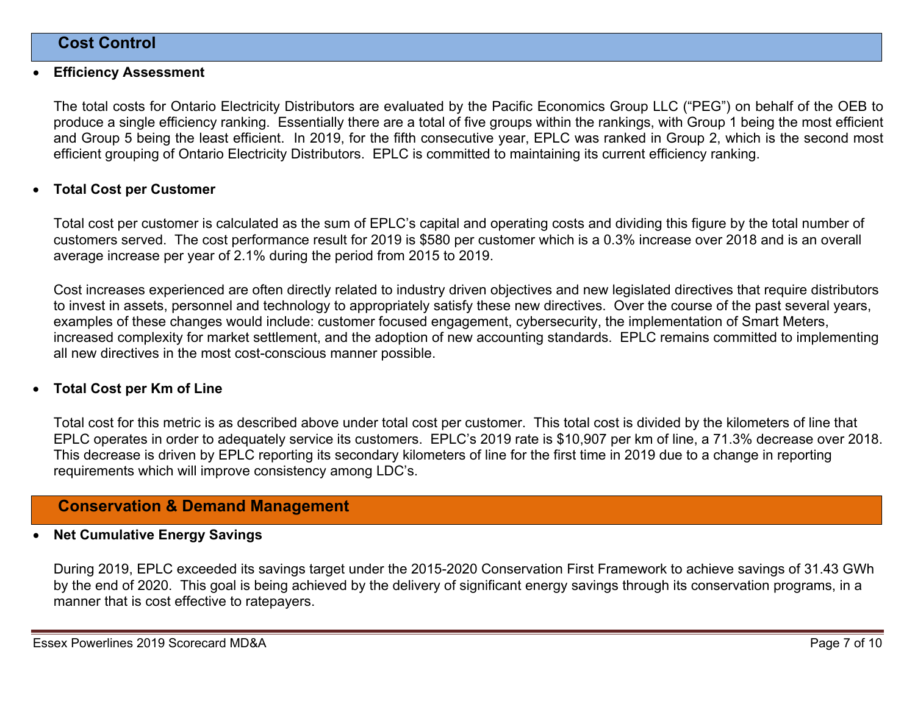### **Cost Control**

#### 0 **Efficiency Assessment**

The total costs for Ontario Electricity Distributors are evaluated by the Pacific Economics Group LLC ("PEG") on behalf of the OEB to produce a single efficiency ranking. Essentially there are a total of five groups within the rankings, with Group 1 being the most efficient and Group 5 being the least efficient. In 2019, for the fifth consecutive year, EPLC was ranked in Group 2, which is the second most efficient grouping of Ontario Electricity Distributors. EPLC is committed to maintaining its current efficiency ranking.

#### 0 **Total Cost per Customer**

Total cost per customer is calculated as the sum of EPLC's capital and operating costs and dividing this figure by the total number of customers served. The cost performance result for 2019 is \$580 per customer which is a 0.3% increase over 2018 and is an overall average increase per year of 2.1% during the period from 2015 to 2019.

Cost increases experienced are often directly related to industry driven objectives and new legislated directives that require distributors to invest in assets, personnel and technology to appropriately satisfy these new directives. Over the course of the past several years, examples of these changes would include: customer focused engagement, cybersecurity, the implementation of Smart Meters, increased complexity for market settlement, and the adoption of new accounting standards. EPLC remains committed to implementing all new directives in the most cost-conscious manner possible.

#### 0 **Total Cost per Km of Line**

Total cost for this metric is as described above under total cost per customer. This total cost is divided by the kilometers of line that EPLC operates in order to adequately service its customers. EPLC's 2019 rate is \$10,907 per km of line, a 71.3% decrease over 2018. This decrease is driven by EPLC reporting its secondary kilometers of line for the first time in 2019 due to a change in reporting requirements which will improve consistency among LDC's.

### **Conservation & Demand Management**

#### 0 **Net Cumulative Energy Savings**

During 2019, EPLC exceeded its savings target under the 2015-2020 Conservation First Framework to achieve savings of 31.43 GWh by the end of 2020. This goal is being achieved by the delivery of significant energy savings through its conservation programs, in a manner that is cost effective to ratepayers.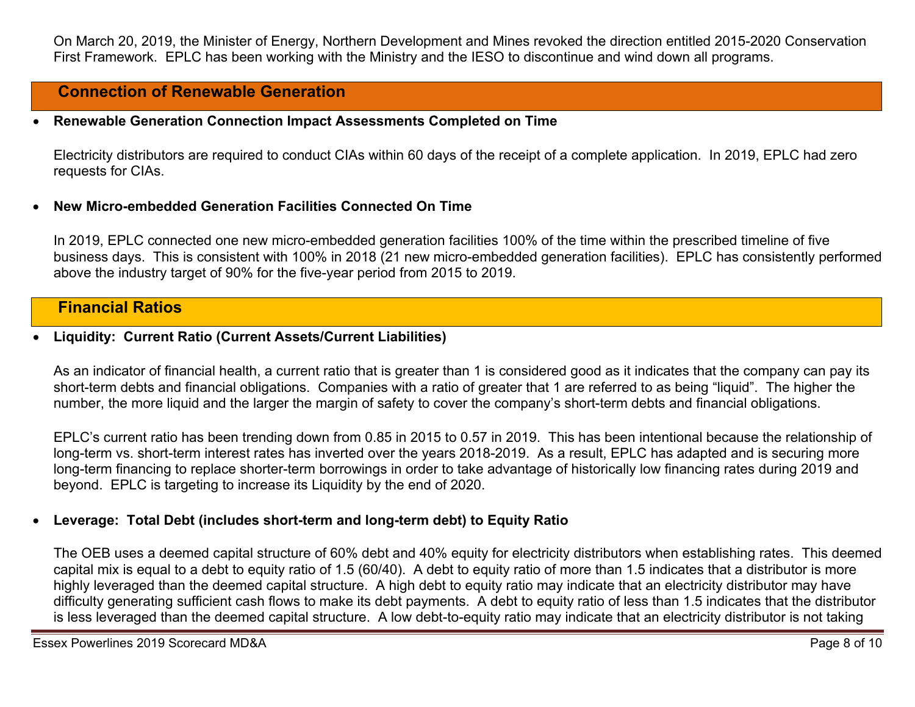On March 20, 2019, the Minister of Energy, Northern Development and Mines revoked the direction entitled 2015-2020 Conservation First Framework. EPLC has been working with the Ministry and the IESO to discontinue and wind down all programs.

### **Connection of Renewable Generation**

#### 0 **Renewable Generation Connection Impact Assessments Completed on Time**

Electricity distributors are required to conduct CIAs within 60 days of the receipt of a complete application. In 2019, EPLC had zero requests for CIAs.

#### 0 **New Micro-embedded Generation Facilities Connected On Time**

In 2019, EPLC connected one new micro-embedded generation facilities 100% of the time within the prescribed timeline of five business days. This is consistent with 100% in 2018 (21 new micro-embedded generation facilities). EPLC has consistently performed above the industry target of 90% for the five-year period from 2015 to 2019.

### **Financial Ratios**

#### 0 **Liquidity: Current Ratio (Current Assets/Current Liabilities)**

As an indicator of financial health, a current ratio that is greater than 1 is considered good as it indicates that the company can pay its short-term debts and financial obligations. Companies with a ratio of greater that 1 are referred to as being "liquid". The higher the number, the more liquid and the larger the margin of safety to cover the company's short-term debts and financial obligations.

EPLC's current ratio has been trending down from 0.85 in 2015 to 0.57 in 2019. This has been intentional because the relationship of long-term vs. short-term interest rates has inverted over the years 2018-2019. As a result, EPLC has adapted and is securing more long-term financing to replace shorter-term borrowings in order to take advantage of historically low financing rates during 2019 and beyond. EPLC is targeting to increase its Liquidity by the end of 2020.

#### 0 **Leverage: Total Debt (includes short-term and long-term debt) to Equity Ratio**

The OEB uses a deemed capital structure of 60% debt and 40% equity for electricity distributors when establishing rates. This deemed capital mix is equal to a debt to equity ratio of 1.5 (60/40). A debt to equity ratio of more than 1.5 indicates that a distributor is more highly leveraged than the deemed capital structure. A high debt to equity ratio may indicate that an electricity distributor may have difficulty generating sufficient cash flows to make its debt payments. A debt to equity ratio of less than 1.5 indicates that the distributor is less leveraged than the deemed capital structure. A low debt-to-equity ratio may indicate that an electricity distributor is not taking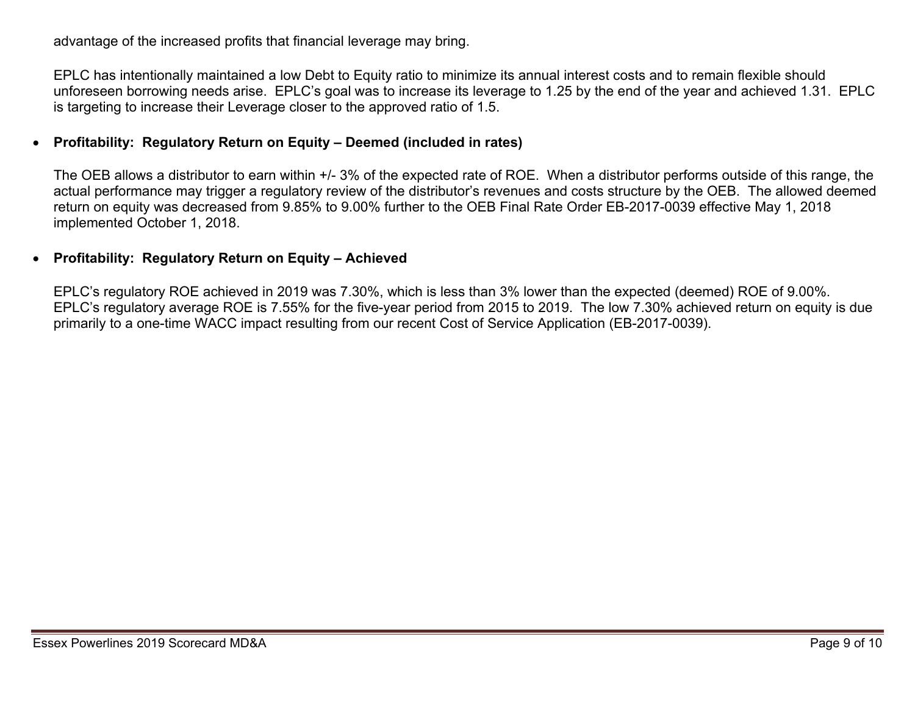advantage of the increased profits that financial leverage may bring.

EPLC has intentionally maintained a low Debt to Equity ratio to minimize its annual interest costs and to remain flexible should unforeseen borrowing needs arise. EPLC's goal was to increase its leverage to 1.25 by the end of the year and achieved 1.31. EPLC is targeting to increase their Leverage closer to the approved ratio of 1.5.

#### 0 **Profitability: Regulatory Return on Equity – Deemed (included in rates)**

The OEB allows a distributor to earn within +/- 3% of the expected rate of ROE. When a distributor performs outside of this range, the actual performance may trigger a regulatory review of the distributor's revenues and costs structure by the OEB. The allowed deemed return on equity was decreased from 9.85% to 9.00% further to the OEB Final Rate Order EB-2017-0039 effective May 1, 2018 implemented October 1, 2018.

#### 0 **Profitability: Regulatory Return on Equity – Achieved**

EPLC's regulatory ROE achieved in 2019 was 7.30%, which is less than 3% lower than the expected (deemed) ROE of 9.00%. EPLC's regulatory average ROE is 7.55% for the five-year period from 2015 to 2019. The low 7.30% achieved return on equity is due primarily to a one-time WACC impact resulting from our recent Cost of Service Application (EB-2017-0039).